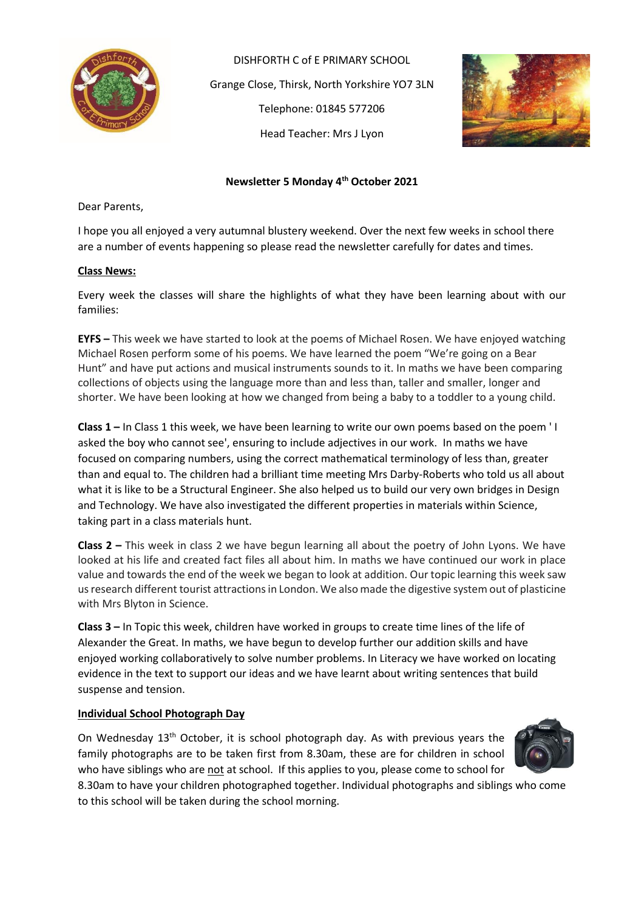

DISHFORTH C of E PRIMARY SCHOOL Grange Close, Thirsk, North Yorkshire YO7 3LN Telephone: 01845 577206 Head Teacher: Mrs J Lyon



### **Newsletter 5 Monday 4th October 2021**

Dear Parents,

I hope you all enjoyed a very autumnal blustery weekend. Over the next few weeks in school there are a number of events happening so please read the newsletter carefully for dates and times.

#### **Class News:**

Every week the classes will share the highlights of what they have been learning about with our families:

**EYFS –** This week we have started to look at the poems of Michael Rosen. We have enjoyed watching Michael Rosen perform some of his poems. We have learned the poem "We're going on a Bear Hunt" and have put actions and musical instruments sounds to it. In maths we have been comparing collections of objects using the language more than and less than, taller and smaller, longer and shorter. We have been looking at how we changed from being a baby to a toddler to a young child.

**Class 1 –** In Class 1 this week, we have been learning to write our own poems based on the poem ' I asked the boy who cannot see', ensuring to include adjectives in our work. In maths we have focused on comparing numbers, using the correct mathematical terminology of less than, greater than and equal to. The children had a brilliant time meeting Mrs Darby-Roberts who told us all about what it is like to be a Structural Engineer. She also helped us to build our very own bridges in Design and Technology. We have also investigated the different properties in materials within Science, taking part in a class materials hunt.

**Class 2 –** This week in class 2 we have begun learning all about the poetry of John Lyons. We have looked at his life and created fact files all about him. In maths we have continued our work in place value and towards the end of the week we began to look at addition. Our topic learning this week saw us research different tourist attractions in London. We also made the digestive system out of plasticine with Mrs Blyton in Science.

**Class 3 –** In Topic this week, children have worked in groups to create time lines of the life of Alexander the Great. In maths, we have begun to develop further our addition skills and have enjoyed working collaboratively to solve number problems. In Literacy we have worked on locating evidence in the text to support our ideas and we have learnt about writing sentences that build suspense and tension.

#### **Individual School Photograph Day**

On Wednesday 13<sup>th</sup> October, it is school photograph day. As with previous years the family photographs are to be taken first from 8.30am, these are for children in school who have siblings who are not at school. If this applies to you, please come to school for



8.30am to have your children photographed together. Individual photographs and siblings who come to this school will be taken during the school morning.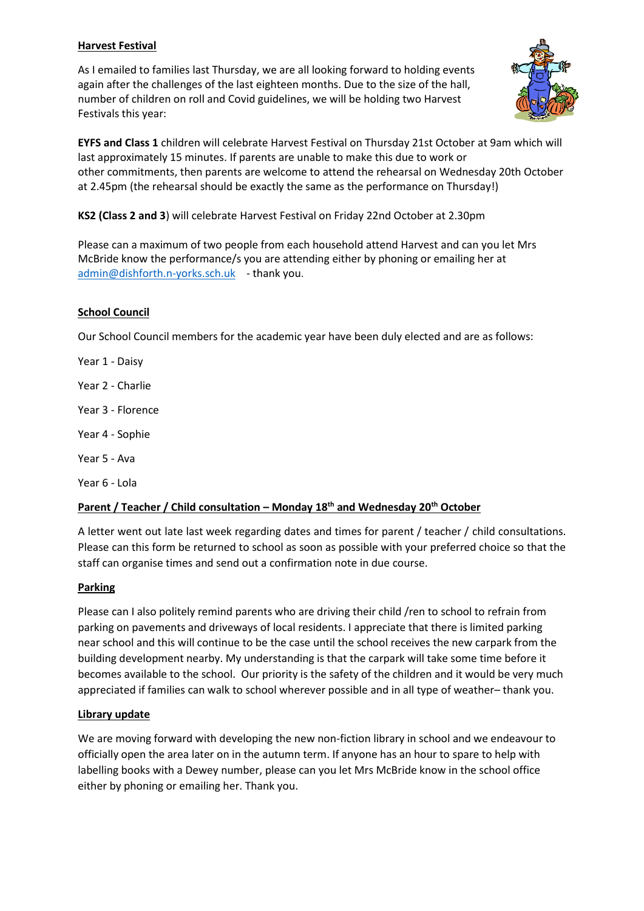# **Harvest Festival**

As I emailed to families last Thursday, we are all looking forward to holding events again after the challenges of the last eighteen months. Due to the size of the hall, number of children on roll and Covid guidelines, we will be holding two Harvest Festivals this year:



**EYFS and Class 1** children will celebrate Harvest Festival on Thursday 21st October at 9am which will last approximately 15 minutes. If parents are unable to make this due to work or other commitments, then parents are welcome to attend the rehearsal on Wednesday 20th October at 2.45pm (the rehearsal should be exactly the same as the performance on Thursday!)

**KS2 (Class 2 and 3**) will celebrate Harvest Festival on Friday 22nd October at 2.30pm

Please can a maximum of two people from each household attend Harvest and can you let Mrs McBride know the performance/s you are attending either by phoning or emailing her at [admin@dishforth.n-yorks.sch.uk](mailto:admin@dishforth.n-yorks.sch.uk) - thank you.

# **School Council**

Our School Council members for the academic year have been duly elected and are as follows:

Year 1 - Daisy

Year 2 - Charlie

Year 3 - Florence

Year 4 - Sophie

Year 5 - Ava

Year 6 - Lola

# **Parent / Teacher / Child consultation – Monday 18th and Wednesday 20th October**

A letter went out late last week regarding dates and times for parent / teacher / child consultations. Please can this form be returned to school as soon as possible with your preferred choice so that the staff can organise times and send out a confirmation note in due course.

# **Parking**

Please can I also politely remind parents who are driving their child /ren to school to refrain from parking on pavements and driveways of local residents. I appreciate that there is limited parking near school and this will continue to be the case until the school receives the new carpark from the building development nearby. My understanding is that the carpark will take some time before it becomes available to the school. Our priority is the safety of the children and it would be very much appreciated if families can walk to school wherever possible and in all type of weather– thank you.

# **Library update**

We are moving forward with developing the new non-fiction library in school and we endeavour to officially open the area later on in the autumn term. If anyone has an hour to spare to help with labelling books with a Dewey number, please can you let Mrs McBride know in the school office either by phoning or emailing her. Thank you.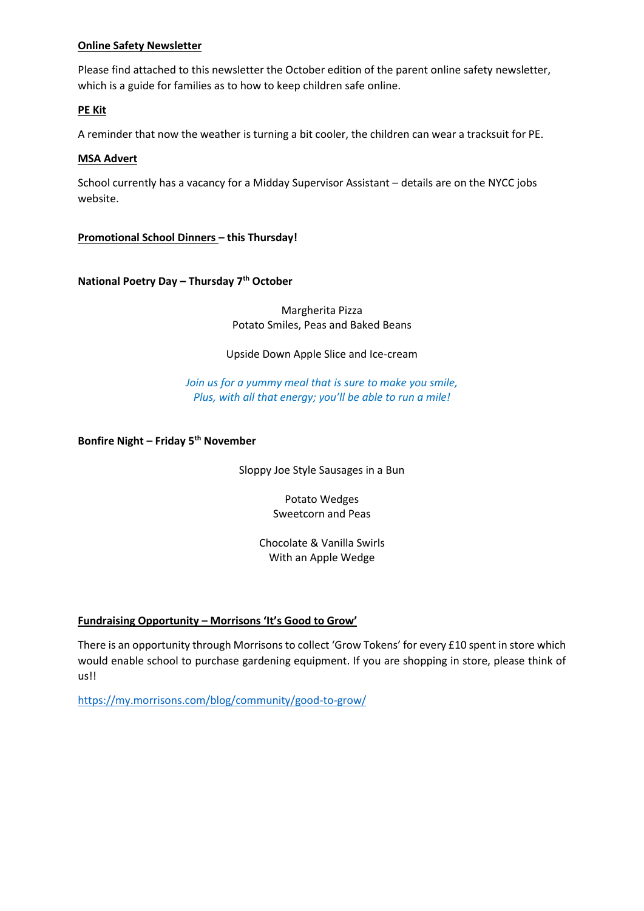### **Online Safety Newsletter**

Please find attached to this newsletter the October edition of the parent online safety newsletter, which is a guide for families as to how to keep children safe online.

### **PE Kit**

A reminder that now the weather is turning a bit cooler, the children can wear a tracksuit for PE.

#### **MSA Advert**

School currently has a vacancy for a Midday Supervisor Assistant – details are on the NYCC jobs website.

**Promotional School Dinners – this Thursday!**

**National Poetry Day – Thursday 7th October**

Margherita Pizza Potato Smiles, Peas and Baked Beans

Upside Down Apple Slice and Ice-cream

*Join us for a yummy meal that is sure to make you smile, Plus, with all that energy; you'll be able to run a mile!*

**Bonfire Night – Friday 5th November**

Sloppy Joe Style Sausages in a Bun

Potato Wedges Sweetcorn and Peas

Chocolate & Vanilla Swirls With an Apple Wedge

# **Fundraising Opportunity – Morrisons 'It's Good to Grow'**

There is an opportunity through Morrisons to collect 'Grow Tokens' for every £10 spent in store which would enable school to purchase gardening equipment. If you are shopping in store, please think of us!!

<https://my.morrisons.com/blog/community/good-to-grow/>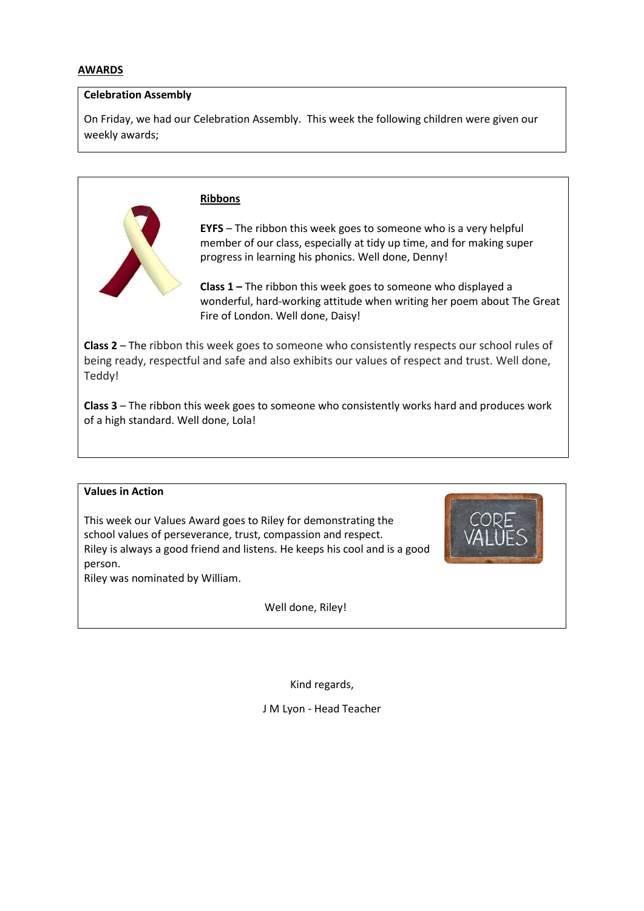#### **Celebration Assembly**

On Friday, we had our Celebration Assembly. This week the following children were given our weekly awards;



#### **Ribbons**

**EYFS** – The ribbon this week goes to someone who is a very helpful member of our class, especially at tidy up time, and for making super progress in learning his phonics. Well done, Denny!

**Class 1 –** The ribbon this week goes to someone who displayed a wonderful, hard-working attitude when writing her poem about The Great Fire of London. Well done, Daisy!

**Class 2** – The ribbon this week goes to someone who consistently respects our school rules of being ready, respectful and safe and also exhibits our values of respect and trust. Well done, Teddy!

**Class 3** – The ribbon this week goes to someone who consistently works hard and produces work of a high standard. Well done, Lola!

### **Values in Action**

This week our Values Award goes to Riley for demonstrating the school values of perseverance, trust, compassion and respect. Riley is always a good friend and listens. He keeps his cool and is a good person.

Riley was nominated by William.

Well done, Riley!



Kind regards,

J M Lyon - Head Teacher